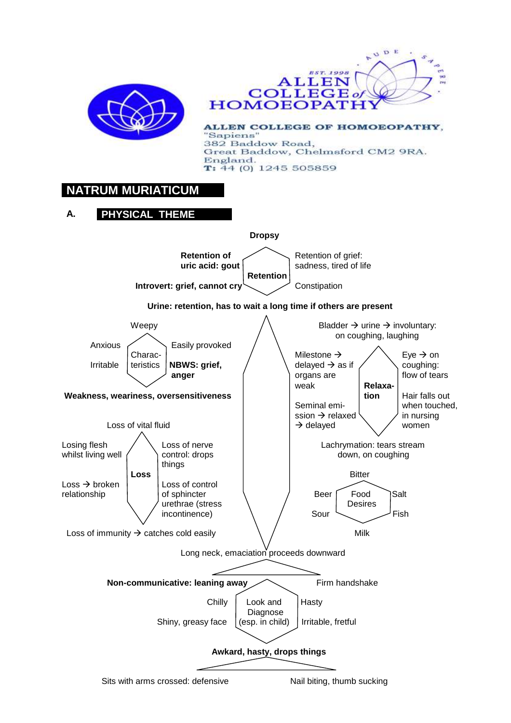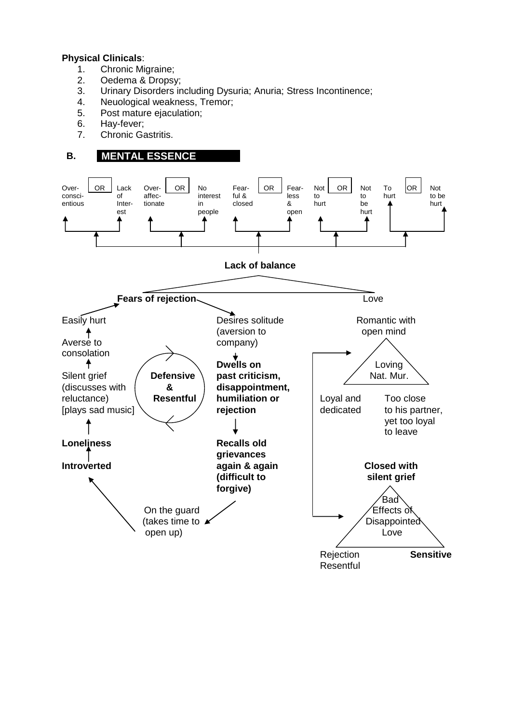### **Physical Clinicals**:

- 1. Chronic Migraine;
- 2. Oedema & Dropsy;
- 3. Urinary Disorders including Dysuria; Anuria; Stress Incontinence;
- 4. Neuological weakness, Tremor;
- 5. Post mature ejaculation;
- 6. Hay-fever;
- 7. Chronic Gastritis.

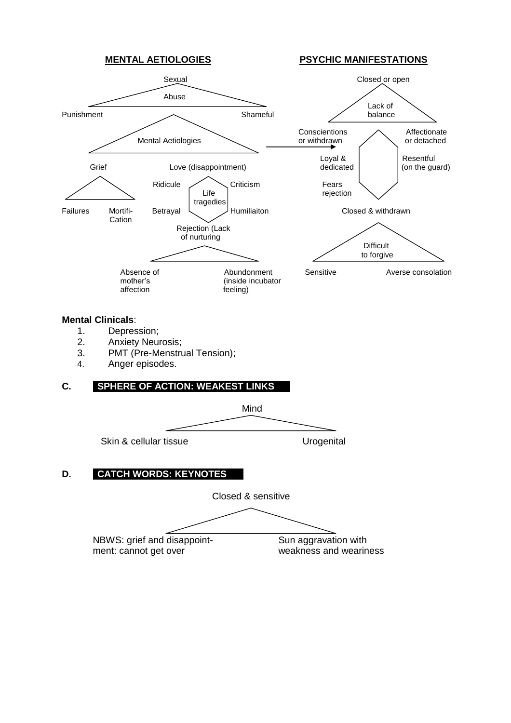